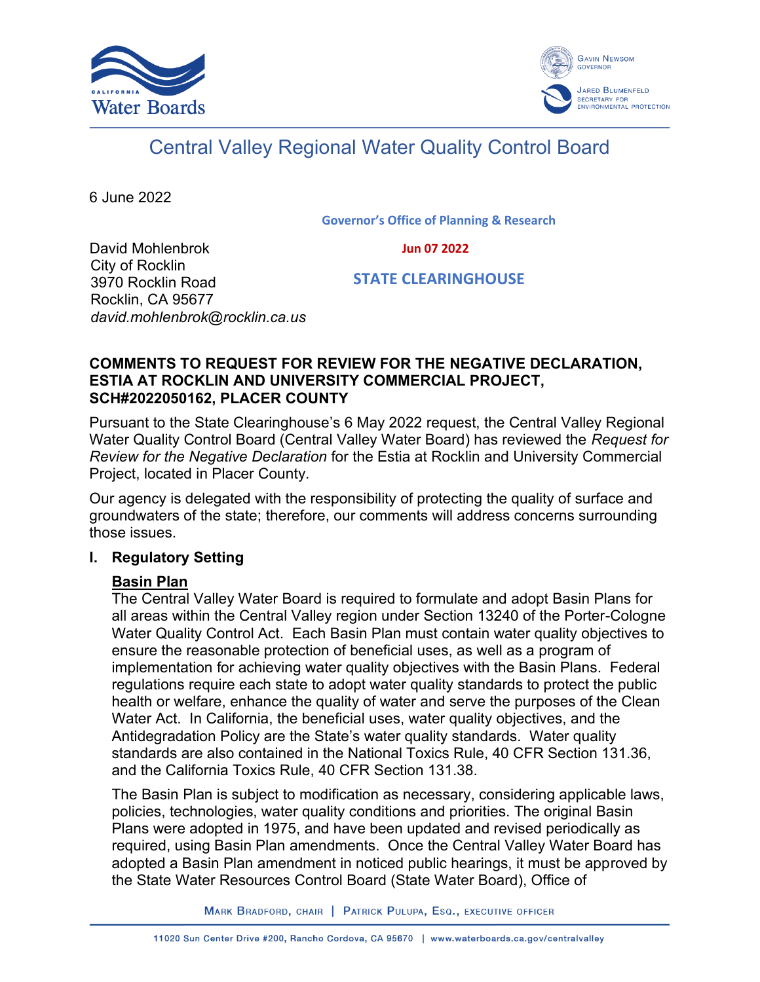



# Central Valley Regional Water Quality Control Board

6 June 2022

**Governor's Office of Planning & Research**

 **Jun 07 2022**

David Mohlenbrok City of Rocklin 3970 Rocklin Road Rocklin, CA 95677 *david.mohlenbrok@rocklin.ca.us*

 **STATE CLEARINGHOUSE**

### **COMMENTS TO REQUEST FOR REVIEW FOR THE NEGATIVE DECLARATION, ESTIA AT ROCKLIN AND UNIVERSITY COMMERCIAL PROJECT, SCH#2022050162, PLACER COUNTY**

Pursuant to the State Clearinghouse's 6 May 2022 request, the Central Valley Regional Water Quality Control Board (Central Valley Water Board) has reviewed the *Request for Review for the Negative Declaration* for the Estia at Rocklin and University Commercial Project, located in Placer County.

Our agency is delegated with the responsibility of protecting the quality of surface and groundwaters of the state; therefore, our comments will address concerns surrounding those issues.

# **I. Regulatory Setting**

# **Basin Plan**

The Central Valley Water Board is required to formulate and adopt Basin Plans for all areas within the Central Valley region under Section 13240 of the Porter-Cologne Water Quality Control Act. Each Basin Plan must contain water quality objectives to ensure the reasonable protection of beneficial uses, as well as a program of implementation for achieving water quality objectives with the Basin Plans. Federal regulations require each state to adopt water quality standards to protect the public health or welfare, enhance the quality of water and serve the purposes of the Clean Water Act. In California, the beneficial uses, water quality objectives, and the Antidegradation Policy are the State's water quality standards. Water quality standards are also contained in the National Toxics Rule, 40 CFR Section 131.36, and the California Toxics Rule, 40 CFR Section 131.38.

The Basin Plan is subject to modification as necessary, considering applicable laws, policies, technologies, water quality conditions and priorities. The original Basin Plans were adopted in 1975, and have been updated and revised periodically as required, using Basin Plan amendments. Once the Central Valley Water Board has adopted a Basin Plan amendment in noticed public hearings, it must be approved by the State Water Resources Control Board (State Water Board), Office of

MARK BRADFORD, CHAIR | PATRICK PULUPA, ESQ., EXECUTIVE OFFICER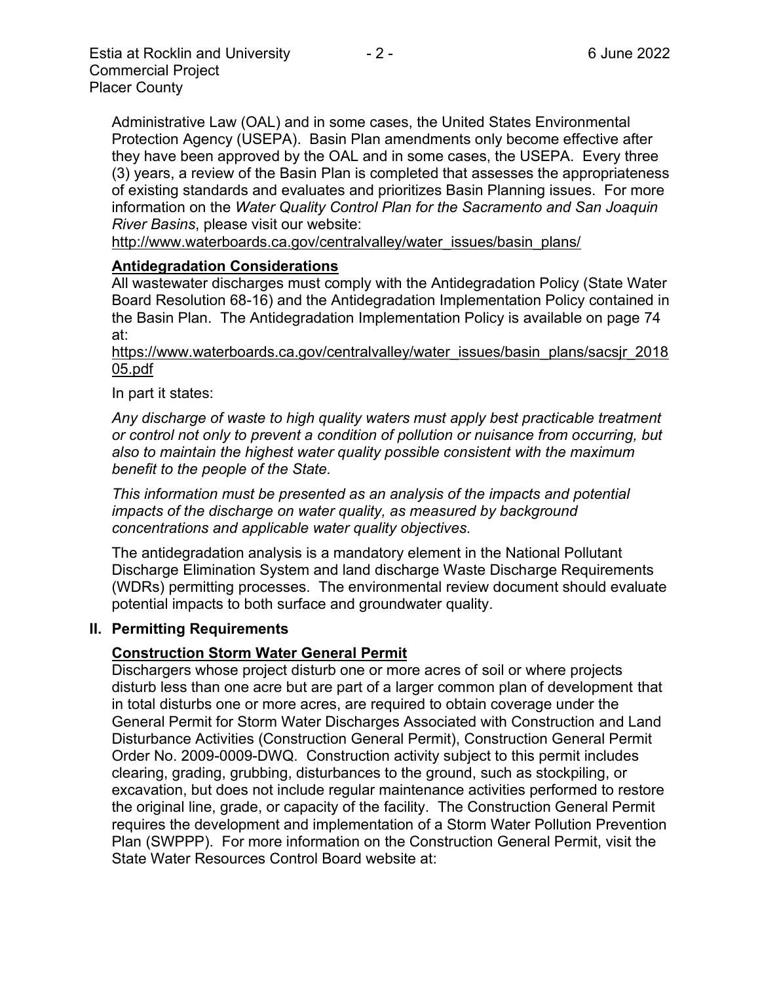Administrative Law (OAL) and in some cases, the United States Environmental Protection Agency (USEPA). Basin Plan amendments only become effective after they have been approved by the OAL and in some cases, the USEPA. Every three (3) years, a review of the Basin Plan is completed that assesses the appropriateness of existing standards and evaluates and prioritizes Basin Planning issues. For more information on the *Water Quality Control Plan for the Sacramento and San Joaquin River Basins*, please visit our website:

[http://www.waterboards.ca.gov/centralvalley/water\\_issues/basin\\_plans/](http://www.waterboards.ca.gov/centralvalley/water_issues/basin_plans/)

#### **Antidegradation Considerations**

All wastewater discharges must comply with the Antidegradation Policy (State Water Board Resolution 68-16) and the Antidegradation Implementation Policy contained in the Basin Plan. The Antidegradation Implementation Policy is available on page 74 at:

https://www.waterboards.ca.gov/centralvalley/water\_issues/basin\_plans/sacsjr\_2018 05.pdf

In part it states:

*Any discharge of waste to high quality waters must apply best practicable treatment or control not only to prevent a condition of pollution or nuisance from occurring, but also to maintain the highest water quality possible consistent with the maximum benefit to the people of the State.*

*This information must be presented as an analysis of the impacts and potential impacts of the discharge on water quality, as measured by background concentrations and applicable water quality objectives.*

The antidegradation analysis is a mandatory element in the National Pollutant Discharge Elimination System and land discharge Waste Discharge Requirements (WDRs) permitting processes. The environmental review document should evaluate potential impacts to both surface and groundwater quality.

#### **II. Permitting Requirements**

# **Construction Storm Water General Permit**

Dischargers whose project disturb one or more acres of soil or where projects disturb less than one acre but are part of a larger common plan of development that in total disturbs one or more acres, are required to obtain coverage under the General Permit for Storm Water Discharges Associated with Construction and Land Disturbance Activities (Construction General Permit), Construction General Permit Order No. 2009-0009-DWQ. Construction activity subject to this permit includes clearing, grading, grubbing, disturbances to the ground, such as stockpiling, or excavation, but does not include regular maintenance activities performed to restore the original line, grade, or capacity of the facility. The Construction General Permit requires the development and implementation of a Storm Water Pollution Prevention Plan (SWPPP). For more information on the Construction General Permit, visit the State Water Resources Control Board website at: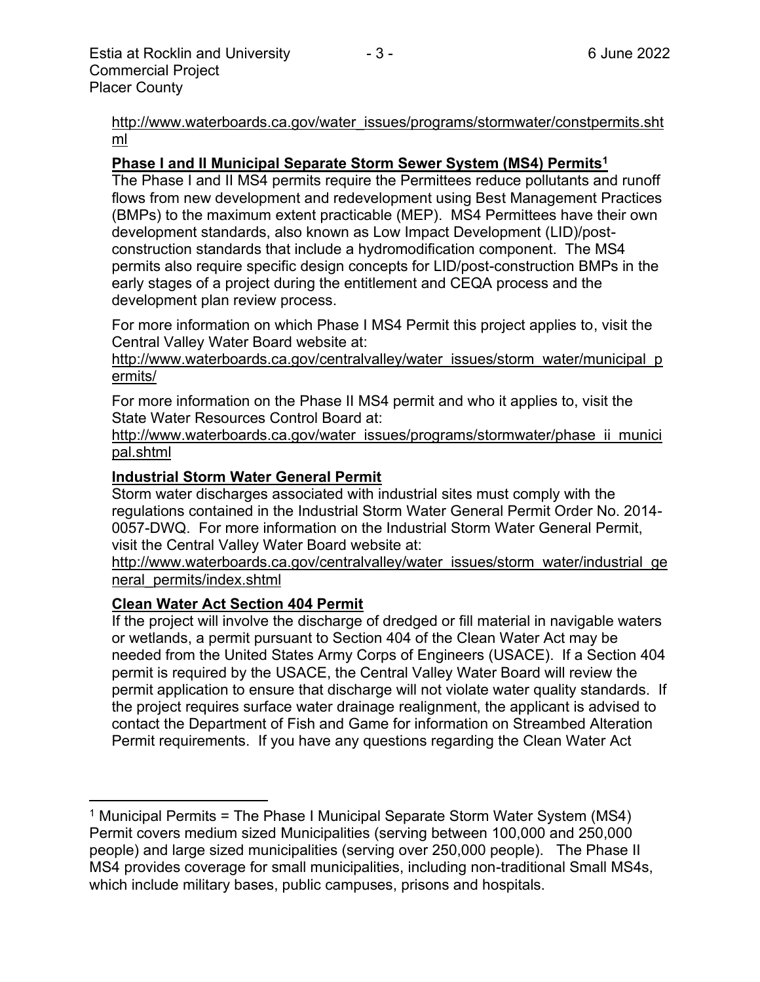[http://www.waterboards.ca.gov/water\\_issues/programs/stormwater/constpermits.sht](http://www.waterboards.ca.gov/water_issues/programs/stormwater/constpermits.shtml) [ml](http://www.waterboards.ca.gov/water_issues/programs/stormwater/constpermits.shtml)

#### **Phase I and II Municipal Separate Storm Sewer System (MS4) Permits<sup>1</sup>**

The Phase I and II MS4 permits require the Permittees reduce pollutants and runoff flows from new development and redevelopment using Best Management Practices (BMPs) to the maximum extent practicable (MEP). MS4 Permittees have their own development standards, also known as Low Impact Development (LID)/postconstruction standards that include a hydromodification component. The MS4 permits also require specific design concepts for LID/post-construction BMPs in the early stages of a project during the entitlement and CEQA process and the development plan review process.

For more information on which Phase I MS4 Permit this project applies to, visit the Central Valley Water Board website at:

http://www.waterboards.ca.gov/centralvalley/water\_issues/storm\_water/municipal\_p ermits/

For more information on the Phase II MS4 permit and who it applies to, visit the State Water Resources Control Board at:

http://www.waterboards.ca.gov/water\_issues/programs/stormwater/phase\_ii\_munici pal.shtml

#### **Industrial Storm Water General Permit**

Storm water discharges associated with industrial sites must comply with the regulations contained in the Industrial Storm Water General Permit Order No. 2014- 0057-DWQ. For more information on the Industrial Storm Water General Permit, visit the Central Valley Water Board website at:

http://www.waterboards.ca.gov/centralvalley/water\_issues/storm\_water/industrial\_ge neral\_permits/index.shtml

#### **Clean Water Act Section 404 Permit**

If the project will involve the discharge of dredged or fill material in navigable waters or wetlands, a permit pursuant to Section 404 of the Clean Water Act may be needed from the United States Army Corps of Engineers (USACE). If a Section 404 permit is required by the USACE, the Central Valley Water Board will review the permit application to ensure that discharge will not violate water quality standards. If the project requires surface water drainage realignment, the applicant is advised to contact the Department of Fish and Game for information on Streambed Alteration Permit requirements. If you have any questions regarding the Clean Water Act

<sup>&</sup>lt;sup>1</sup> Municipal Permits = The Phase I Municipal Separate Storm Water System (MS4) Permit covers medium sized Municipalities (serving between 100,000 and 250,000 people) and large sized municipalities (serving over 250,000 people). The Phase II MS4 provides coverage for small municipalities, including non-traditional Small MS4s, which include military bases, public campuses, prisons and hospitals.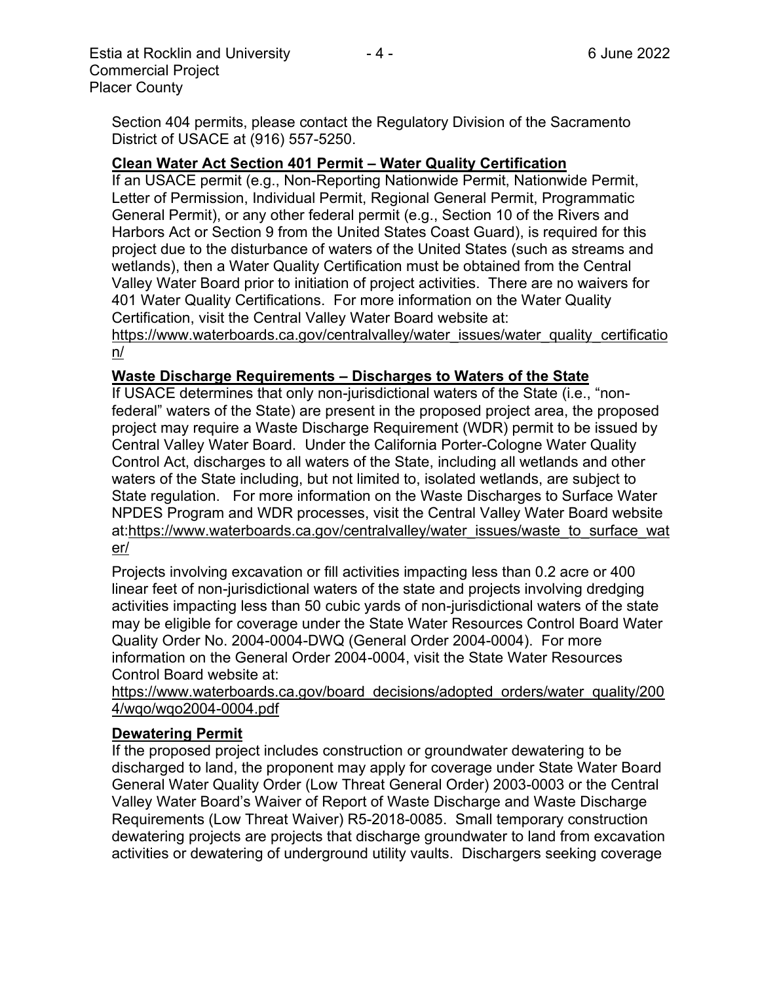Section 404 permits, please contact the Regulatory Division of the Sacramento District of USACE at (916) 557-5250.

#### **Clean Water Act Section 401 Permit – Water Quality Certification**

If an USACE permit (e.g., Non-Reporting Nationwide Permit, Nationwide Permit, Letter of Permission, Individual Permit, Regional General Permit, Programmatic General Permit), or any other federal permit (e.g., Section 10 of the Rivers and Harbors Act or Section 9 from the United States Coast Guard), is required for this project due to the disturbance of waters of the United States (such as streams and wetlands), then a Water Quality Certification must be obtained from the Central Valley Water Board prior to initiation of project activities. There are no waivers for 401 Water Quality Certifications. For more information on the Water Quality Certification, visit the Central Valley Water Board website at:

https://www.waterboards.ca.gov/centralvalley/water\_issues/water\_quality\_certificatio n/

#### **Waste Discharge Requirements – Discharges to Waters of the State**

If USACE determines that only non-jurisdictional waters of the State (i.e., "nonfederal" waters of the State) are present in the proposed project area, the proposed project may require a Waste Discharge Requirement (WDR) permit to be issued by Central Valley Water Board. Under the California Porter-Cologne Water Quality Control Act, discharges to all waters of the State, including all wetlands and other waters of the State including, but not limited to, isolated wetlands, are subject to State regulation. For more information on the Waste Discharges to Surface Water NPDES Program and WDR processes, visit the Central Valley Water Board website at:https://www.waterboards.ca.gov/centralvalley/water\_issues/waste\_to\_surface\_wat er/

Projects involving excavation or fill activities impacting less than 0.2 acre or 400 linear feet of non-jurisdictional waters of the state and projects involving dredging activities impacting less than 50 cubic yards of non-jurisdictional waters of the state may be eligible for coverage under the State Water Resources Control Board Water Quality Order No. 2004-0004-DWQ (General Order 2004-0004). For more information on the General Order 2004-0004, visit the State Water Resources Control Board website at:

https://www.waterboards.ca.gov/board\_decisions/adopted\_orders/water\_quality/200 4/wqo/wqo2004-0004.pdf

#### **Dewatering Permit**

If the proposed project includes construction or groundwater dewatering to be discharged to land, the proponent may apply for coverage under State Water Board General Water Quality Order (Low Threat General Order) 2003-0003 or the Central Valley Water Board's Waiver of Report of Waste Discharge and Waste Discharge Requirements (Low Threat Waiver) R5-2018-0085. Small temporary construction dewatering projects are projects that discharge groundwater to land from excavation activities or dewatering of underground utility vaults. Dischargers seeking coverage